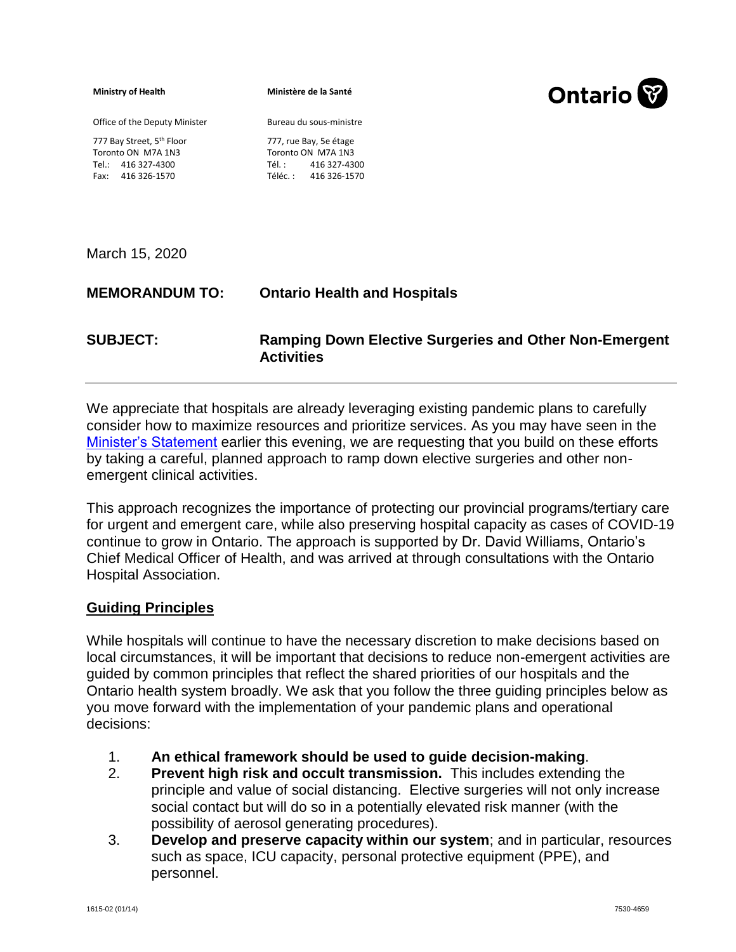**Ministry of Health** 

**Ministère de la Santé**

Bureau du sous-ministre

Office of the Deputy Minister

777, rue Bay, 5e étage

777 Bay Street, 5<sup>th</sup> Floor Toronto ON M7A 1N3 Tel.: 416 327-4300 Fax: 416 326-1570

Toronto ON M7A 1N3 Tél. : 416 327-4300 Téléc. : 416 326-1570

March 15, 2020

## **MEMORANDUM TO: Ontario Health and Hospitals**

**SUBJECT: Ramping Down Elective Surgeries and Other Non-Emergent Activities** 

We appreciate that hospitals are already leveraging existing pandemic plans to carefully consider how to maximize resources and prioritize services. As you may have seen in the [Minister's Statement](https://news.ontario.ca/mohltc/en/2020/03/ontario-hospitals-asked-to-take-a-planned-approach-to-ramping-down-elective-surgeries.html) earlier this evening, we are requesting that you build on these efforts by taking a careful, planned approach to ramp down elective surgeries and other nonemergent clinical activities.

This approach recognizes the importance of protecting our provincial programs/tertiary care for urgent and emergent care, while also preserving hospital capacity as cases of COVID-19 continue to grow in Ontario. The approach is supported by Dr. David Williams, Ontario's Chief Medical Officer of Health, and was arrived at through consultations with the Ontario Hospital Association.

## **Guiding Principles**

While hospitals will continue to have the necessary discretion to make decisions based on local circumstances, it will be important that decisions to reduce non-emergent activities are guided by common principles that reflect the shared priorities of our hospitals and the Ontario health system broadly. We ask that you follow the three guiding principles below as you move forward with the implementation of your pandemic plans and operational decisions:

- 1. **An ethical framework should be used to guide decision-making**.
- 2. **Prevent high risk and occult transmission.** This includes extending the principle and value of social distancing. Elective surgeries will not only increase social contact but will do so in a potentially elevated risk manner (with the possibility of aerosol generating procedures).
- 3. **Develop and preserve capacity within our system**; and in particular, resources such as space, ICU capacity, personal protective equipment (PPE), and personnel.

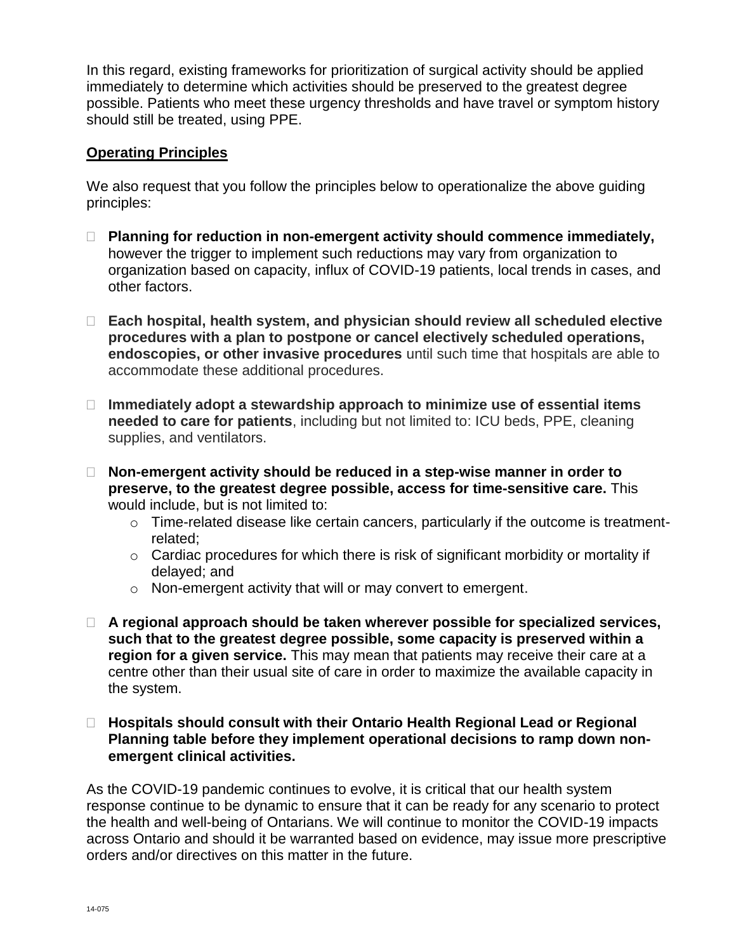In this regard, existing frameworks for prioritization of surgical activity should be applied immediately to determine which activities should be preserved to the greatest degree possible. Patients who meet these urgency thresholds and have travel or symptom history should still be treated, using PPE.

## **Operating Principles**

We also request that you follow the principles below to operationalize the above quiding principles:

- **Planning for reduction in non-emergent activity should commence immediately,** however the trigger to implement such reductions may vary from organization to organization based on capacity, influx of COVID-19 patients, local trends in cases, and other factors.
- **Each hospital, health system, and physician should review all scheduled elective procedures with a plan to postpone or cancel electively scheduled operations, endoscopies, or other invasive procedures** until such time that hospitals are able to accommodate these additional procedures.
- **Immediately adopt a stewardship approach to minimize use of essential items needed to care for patients**, including but not limited to: ICU beds, PPE, cleaning supplies, and ventilators.
- **Non-emergent activity should be reduced in a step-wise manner in order to preserve, to the greatest degree possible, access for time-sensitive care.** This would include, but is not limited to:
	- o Time-related disease like certain cancers, particularly if the outcome is treatmentrelated;
	- $\circ$  Cardiac procedures for which there is risk of significant morbidity or mortality if delayed; and
	- o Non-emergent activity that will or may convert to emergent.
- **A regional approach should be taken wherever possible for specialized services, such that to the greatest degree possible, some capacity is preserved within a region for a given service.** This may mean that patients may receive their care at a centre other than their usual site of care in order to maximize the available capacity in the system.

## **Hospitals should consult with their Ontario Health Regional Lead or Regional Planning table before they implement operational decisions to ramp down nonemergent clinical activities.**

As the COVID-19 pandemic continues to evolve, it is critical that our health system response continue to be dynamic to ensure that it can be ready for any scenario to protect the health and well-being of Ontarians. We will continue to monitor the COVID-19 impacts across Ontario and should it be warranted based on evidence, may issue more prescriptive orders and/or directives on this matter in the future.